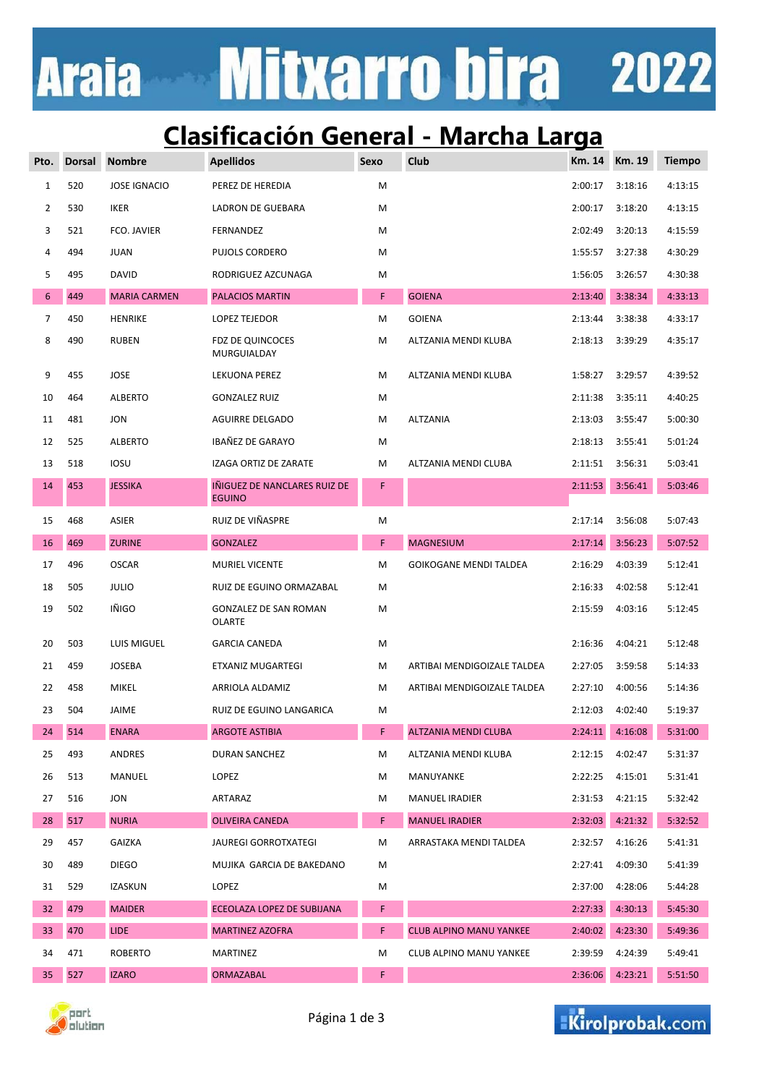# **Mitxarro bira 2022 Araia**

### **Clasificación General - Marcha Larga**

| Pto.            | <b>Dorsal</b> | <b>Nombre</b>       | <b>Apellidos</b>                              | Sexo | Club                           | Km. 14  | Km. 19  | <b>Tiempo</b> |
|-----------------|---------------|---------------------|-----------------------------------------------|------|--------------------------------|---------|---------|---------------|
| $\mathbf{1}$    | 520           | <b>JOSE IGNACIO</b> | PEREZ DE HEREDIA                              | M    |                                | 2:00:17 | 3:18:16 | 4:13:15       |
| $\overline{2}$  | 530           | <b>IKER</b>         | LADRON DE GUEBARA                             | M    |                                | 2:00:17 | 3:18:20 | 4:13:15       |
| 3               | 521           | FCO. JAVIER         | FERNANDEZ                                     | M    |                                | 2:02:49 | 3:20:13 | 4:15:59       |
| 4               | 494           | <b>JUAN</b>         | PUJOLS CORDERO                                | M    |                                | 1:55:57 | 3:27:38 | 4:30:29       |
| 5               | 495           | <b>DAVID</b>        | RODRIGUEZ AZCUNAGA                            | Μ    |                                | 1:56:05 | 3:26:57 | 4:30:38       |
| $6\phantom{1}$  | 449           | <b>MARIA CARMEN</b> | PALACIOS MARTIN                               | F    | <b>GOIENA</b>                  | 2:13:40 | 3:38:34 | 4:33:13       |
| $\overline{7}$  | 450           | <b>HENRIKE</b>      | <b>LOPEZ TEJEDOR</b>                          | М    | <b>GOIENA</b>                  | 2:13:44 | 3:38:38 | 4:33:17       |
| 8               | 490           | <b>RUBEN</b>        | FDZ DE QUINCOCES<br>MURGUIALDAY               | М    | ALTZANIA MENDI KLUBA           | 2:18:13 | 3:39:29 | 4:35:17       |
| 9               | 455           | <b>JOSE</b>         | LEKUONA PEREZ                                 | М    | ALTZANIA MENDI KLUBA           | 1:58:27 | 3:29:57 | 4:39:52       |
| 10              | 464           | <b>ALBERTO</b>      | GONZALEZ RUIZ                                 | М    |                                | 2:11:38 | 3:35:11 | 4:40:25       |
| 11              | 481           | <b>JON</b>          | <b>AGUIRRE DELGADO</b>                        | М    | <b>ALTZANIA</b>                | 2:13:03 | 3:55:47 | 5:00:30       |
| 12              | 525           | <b>ALBERTO</b>      | IBAÑEZ DE GARAYO                              | М    |                                | 2:18:13 | 3:55:41 | 5:01:24       |
| 13              | 518           | <b>IOSU</b>         | IZAGA ORTIZ DE ZARATE                         | М    | ALTZANIA MENDI CLUBA           | 2:11:51 | 3:56:31 | 5:03:41       |
| 14              | 453           | <b>JESSIKA</b>      | IÑIGUEZ DE NANCLARES RUIZ DE<br><b>EGUINO</b> | F    |                                | 2:11:53 | 3:56:41 | 5:03:46       |
| 15              | 468           | ASIER               | RUIZ DE VIÑASPRE                              | M    |                                | 2:17:14 | 3:56:08 | 5:07:43       |
| 16              | 469           | <b>ZURINE</b>       | <b>GONZALEZ</b>                               | F.   | <b>MAGNESIUM</b>               | 2:17:14 | 3:56:23 | 5:07:52       |
| 17              | 496           | <b>OSCAR</b>        | MURIEL VICENTE                                | М    | <b>GOIKOGANE MENDI TALDEA</b>  | 2:16:29 | 4:03:39 | 5:12:41       |
| 18              | 505           | <b>JULIO</b>        | RUIZ DE EGUINO ORMAZABAL                      | М    |                                | 2:16:33 | 4:02:58 | 5:12:41       |
| 19              | 502           | IÑIGO               | <b>GONZALEZ DE SAN ROMAN</b><br><b>OLARTE</b> | M    |                                | 2:15:59 | 4:03:16 | 5:12:45       |
| 20              | 503           | LUIS MIGUEL         | <b>GARCIA CANEDA</b>                          | М    |                                | 2:16:36 | 4:04:21 | 5:12:48       |
| 21              | 459           | <b>JOSEBA</b>       | ETXANIZ MUGARTEGI                             | М    | ARTIBAI MENDIGOIZALE TALDEA    | 2:27:05 | 3:59:58 | 5:14:33       |
| 22              | 458           | <b>MIKEL</b>        | ARRIOLA ALDAMIZ                               | М    | ARTIBAI MENDIGOIZALE TALDEA    | 2:27:10 | 4:00:56 | 5:14:36       |
| 23              | 504           | JAIME               | RUIZ DE EGUINO LANGARICA                      | М    |                                | 2:12:03 | 4:02:40 | 5:19:37       |
| 24              | 514           | <b>ENARA</b>        | <b>ARGOTE ASTIBIA</b>                         | F    | ALTZANIA MENDI CLUBA           | 2:24:11 | 4:16:08 | 5:31:00       |
| 25              | 493           | ANDRES              | DURAN SANCHEZ                                 | М    | ALTZANIA MENDI KLUBA           | 2:12:15 | 4:02:47 | 5:31:37       |
| 26              | 513           | MANUEL              | LOPEZ                                         | М    | MANUYANKE                      | 2:22:25 | 4:15:01 | 5:31:41       |
| 27              | 516           | JON                 | ARTARAZ                                       | М    | <b>MANUEL IRADIER</b>          | 2:31:53 | 4:21:15 | 5:32:42       |
| 28              | 517           | <b>NURIA</b>        | OLIVEIRA CANEDA                               | F.   | <b>MANUEL IRADIER</b>          | 2:32:03 | 4:21:32 | 5:32:52       |
| 29              | 457           | <b>GAIZKA</b>       | JAUREGI GORROTXATEGI                          | Μ    | ARRASTAKA MENDI TALDEA         | 2:32:57 | 4:16:26 | 5:41:31       |
| 30              | 489           | <b>DIEGO</b>        | MUJIKA GARCIA DE BAKEDANO                     | Μ    |                                | 2:27:41 | 4:09:30 | 5:41:39       |
| 31              | 529           | IZASKUN             | LOPEZ                                         | Μ    |                                | 2:37:00 | 4:28:06 | 5:44:28       |
| 32 <sub>2</sub> | 479           | <b>MAIDER</b>       | ECEOLAZA LOPEZ DE SUBIJANA                    | F    |                                | 2:27:33 | 4:30:13 | 5:45:30       |
| 33              | 470           | <b>LIDE</b>         | <b>MARTINEZ AZOFRA</b>                        | F    | <b>CLUB ALPINO MANU YANKEE</b> | 2:40:02 | 4:23:30 | 5:49:36       |
| 34              | 471           | <b>ROBERTO</b>      | MARTINEZ                                      | М    | CLUB ALPINO MANU YANKEE        | 2:39:59 | 4:24:39 | 5:49:41       |
| 35              | 527           | <b>IZARO</b>        | <b>ORMAZABAL</b>                              | F    |                                | 2:36:06 | 4:23:21 | 5:51:50       |



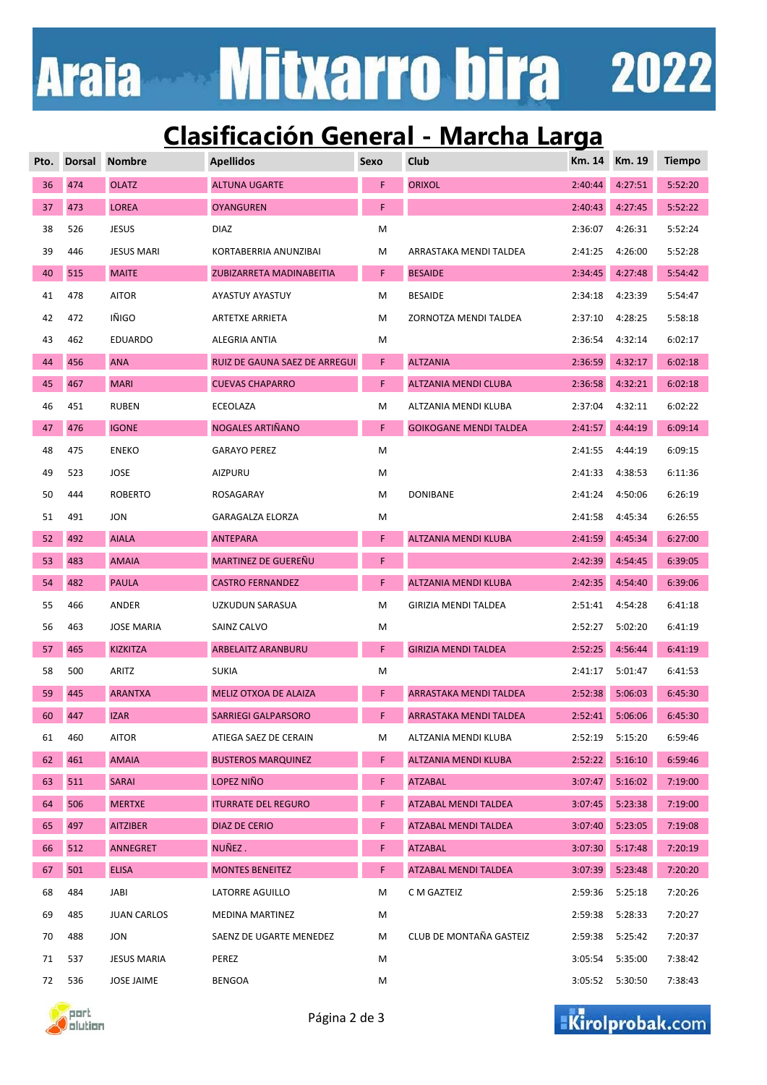# **Mitxarro bira 2022 Araia**

### **Clasificación General - Marcha Larga**

| Pto. | <b>Dorsal</b> | <b>Nombre</b>      | <b>Apellidos</b>              | Sexo | <b>Club</b>                   | Km. 14  | Km. 19  | <b>Tiempo</b> |
|------|---------------|--------------------|-------------------------------|------|-------------------------------|---------|---------|---------------|
| 36   | 474           | <b>OLATZ</b>       | <b>ALTUNA UGARTE</b>          | F    | <b>ORIXOL</b>                 | 2:40:44 | 4:27:51 | 5:52:20       |
| 37   | 473           | <b>LOREA</b>       | <b>OYANGUREN</b>              | F    |                               | 2:40:43 | 4:27:45 | 5:52:22       |
| 38   | 526           | <b>JESUS</b>       | <b>DIAZ</b>                   | M    |                               | 2:36:07 | 4:26:31 | 5:52:24       |
| 39   | 446           | <b>JESUS MARI</b>  | KORTABERRIA ANUNZIBAI         | M    | ARRASTAKA MENDI TALDEA        | 2:41:25 | 4:26:00 | 5:52:28       |
| 40   | 515           | <b>MAITE</b>       | ZUBIZARRETA MADINABEITIA      | F    | <b>BESAIDE</b>                | 2:34:45 | 4:27:48 | 5:54:42       |
| 41   | 478           | <b>AITOR</b>       | AYASTUY AYASTUY               | M    | <b>BESAIDE</b>                | 2:34:18 | 4:23:39 | 5:54:47       |
| 42   | 472           | IÑIGO              | <b>ARTETXE ARRIETA</b>        | М    | ZORNOTZA MENDI TALDEA         | 2:37:10 | 4:28:25 | 5:58:18       |
| 43   | 462           | <b>EDUARDO</b>     | ALEGRIA ANTIA                 | M    |                               | 2:36:54 | 4:32:14 | 6:02:17       |
| 44   | 456           | <b>ANA</b>         | RUIZ DE GAUNA SAEZ DE ARREGUI | F    | <b>ALTZANIA</b>               | 2:36:59 | 4:32:17 | 6:02:18       |
| 45   | 467           | <b>MARI</b>        | <b>CUEVAS CHAPARRO</b>        | F    | ALTZANIA MENDI CLUBA          | 2:36:58 | 4:32:21 | 6:02:18       |
| 46   | 451           | <b>RUBEN</b>       | ECEOLAZA                      | M    | ALTZANIA MENDI KLUBA          | 2:37:04 | 4:32:11 | 6:02:22       |
| 47   | 476           | <b>IGONE</b>       | NOGALES ARTIÑANO              | F    | <b>GOIKOGANE MENDI TALDEA</b> | 2:41:57 | 4:44:19 | 6:09:14       |
| 48   | 475           | <b>ENEKO</b>       | <b>GARAYO PEREZ</b>           | M    |                               | 2:41:55 | 4:44:19 | 6:09:15       |
| 49   | 523           | <b>JOSE</b>        | AIZPURU                       | M    |                               | 2:41:33 | 4:38:53 | 6:11:36       |
| 50   | 444           | <b>ROBERTO</b>     | ROSAGARAY                     | M    | <b>DONIBANE</b>               | 2:41:24 | 4:50:06 | 6:26:19       |
| 51   | 491           | <b>JON</b>         | <b>GARAGALZA ELORZA</b>       | M    |                               | 2:41:58 | 4:45:34 | 6:26:55       |
| 52   | 492           | <b>AIALA</b>       | <b>ANTEPARA</b>               | F    | ALTZANIA MENDI KLUBA          | 2:41:59 | 4:45:34 | 6:27:00       |
| 53   | 483           | <b>AMAIA</b>       | MARTINEZ DE GUEREÑU           | F    |                               | 2:42:39 | 4:54:45 | 6:39:05       |
| 54   | 482           | <b>PAULA</b>       | <b>CASTRO FERNANDEZ</b>       | F    | ALTZANIA MENDI KLUBA          | 2:42:35 | 4:54:40 | 6:39:06       |
| 55   | 466           | ANDER              | UZKUDUN SARASUA               | M    | GIRIZIA MENDI TALDEA          | 2:51:41 | 4:54:28 | 6:41:18       |
| 56   | 463           | <b>JOSE MARIA</b>  | SAINZ CALVO                   | M    |                               | 2:52:27 | 5:02:20 | 6:41:19       |
| 57   | 465           | <b>KIZKITZA</b>    | <b>ARBELAITZ ARANBURU</b>     | F    | <b>GIRIZIA MENDI TALDEA</b>   | 2:52:25 | 4:56:44 | 6:41:19       |
| 58   | 500           | ARITZ              | <b>SUKIA</b>                  | M    |                               | 2:41:17 | 5:01:47 | 6:41:53       |
| 59   | 445           | <b>ARANTXA</b>     | <b>MELIZ OTXOA DE ALAIZA</b>  | F    | <b>ARRASTAKA MENDI TALDEA</b> | 2:52:38 | 5:06:03 | 6:45:30       |
| 60   | 447           | <b>IZAR</b>        | <b>SARRIEGI GALPARSORO</b>    | F.   | ARRASTAKA MENDI TALDEA        | 2:52:41 | 5:06:06 | 6:45:30       |
| 61   | 460           | <b>AITOR</b>       | ATIEGA SAEZ DE CERAIN         | M    | ALTZANIA MENDI KLUBA          | 2:52:19 | 5:15:20 | 6:59:46       |
| 62   | 461           | <b>AMAIA</b>       | <b>BUSTEROS MARQUINEZ</b>     | F.   | ALTZANIA MENDI KLUBA          | 2:52:22 | 5:16:10 | 6:59:46       |
| 63   | 511           | <b>SARAI</b>       | LOPEZ NIÑO                    | F.   | <b>ATZABAL</b>                | 3:07:47 | 5:16:02 | 7:19:00       |
| 64   | 506           | <b>MERTXE</b>      | <b>ITURRATE DEL REGURO</b>    | F    | <b>ATZABAL MENDI TALDEA</b>   | 3:07:45 | 5:23:38 | 7:19:00       |
| 65   | 497           | <b>AITZIBER</b>    | <b>DIAZ DE CERIO</b>          | F    | ATZABAL MENDI TALDEA          | 3:07:40 | 5:23:05 | 7:19:08       |
| 66   | 512           | ANNEGRET           | NUÑEZ.                        | F    | <b>ATZABAL</b>                | 3:07:30 | 5:17:48 | 7:20:19       |
| 67   | 501           | <b>ELISA</b>       | <b>MONTES BENEITEZ</b>        | F.   | ATZABAL MENDI TALDEA          | 3:07:39 | 5:23:48 | 7:20:20       |
| 68   | 484           | JABI               | LATORRE AGUILLO               | M    | C M GAZTEIZ                   | 2:59:36 | 5:25:18 | 7:20:26       |
| 69   | 485           | <b>JUAN CARLOS</b> | <b>MEDINA MARTINEZ</b>        | M    |                               | 2:59:38 | 5:28:33 | 7:20:27       |
| 70   | 488           | JON                | SAENZ DE UGARTE MENEDEZ       | M    | CLUB DE MONTAÑA GASTEIZ       | 2:59:38 | 5:25:42 | 7:20:37       |
| 71   | 537           | <b>JESUS MARIA</b> | PEREZ                         | М    |                               | 3:05:54 | 5:35:00 | 7:38:42       |
| 72   | 536           | <b>JOSE JAIME</b>  | <b>BENGOA</b>                 | M    |                               | 3:05:52 | 5:30:50 | 7:38:43       |